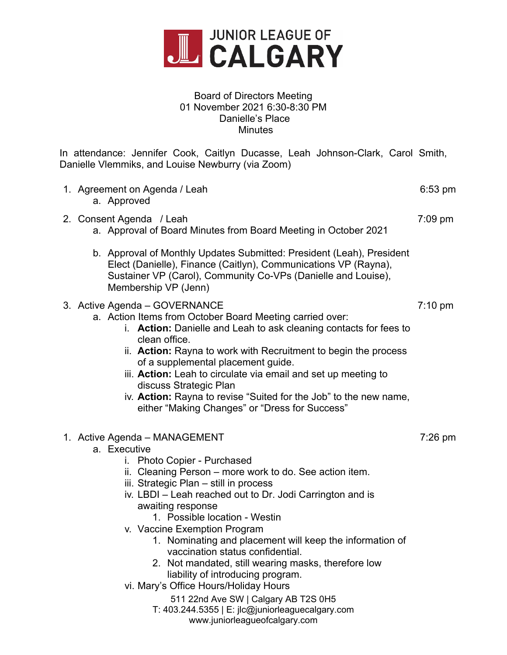

## Board of Directors Meeting 01 November 2021 6:30-8:30 PM Danielle's Place Minutes

In attendance: Jennifer Cook, Caitlyn Ducasse, Leah Johnson-Clark, Carol Smith, Danielle Vlemmiks, and Louise Newburry (via Zoom)

| 1. Agreement on Agenda / Leah<br>a. Approved                                                                                                                                                                                                                                                                                                                                                                                                                                                                                                                                                                                                                                                           | $6:53$ pm         |
|--------------------------------------------------------------------------------------------------------------------------------------------------------------------------------------------------------------------------------------------------------------------------------------------------------------------------------------------------------------------------------------------------------------------------------------------------------------------------------------------------------------------------------------------------------------------------------------------------------------------------------------------------------------------------------------------------------|-------------------|
| 2. Consent Agenda / Leah<br>a. Approval of Board Minutes from Board Meeting in October 2021                                                                                                                                                                                                                                                                                                                                                                                                                                                                                                                                                                                                            | 7:09 pm           |
| b. Approval of Monthly Updates Submitted: President (Leah), President<br>Elect (Danielle), Finance (Caitlyn), Communications VP (Rayna),<br>Sustainer VP (Carol), Community Co-VPs (Danielle and Louise),<br>Membership VP (Jenn)                                                                                                                                                                                                                                                                                                                                                                                                                                                                      |                   |
| 3. Active Agenda - GOVERNANCE<br>a. Action Items from October Board Meeting carried over:<br>i. Action: Danielle and Leah to ask cleaning contacts for fees to<br>clean office.<br>ii. Action: Rayna to work with Recruitment to begin the process<br>of a supplemental placement guide.<br>iii. Action: Leah to circulate via email and set up meeting to<br>discuss Strategic Plan<br>iv. Action: Rayna to revise "Suited for the Job" to the new name,<br>either "Making Changes" or "Dress for Success"                                                                                                                                                                                            | $7:10 \text{ pm}$ |
| 1. Active Agenda - MANAGEMENT<br>a. Executive<br>i. Photo Copier - Purchased<br>ii. Cleaning Person – more work to do. See action item.<br>iii. Strategic Plan – still in process<br>iv. LBDI – Leah reached out to Dr. Jodi Carrington and is<br>awaiting response<br>1. Possible location - Westin<br>v. Vaccine Exemption Program<br>1. Nominating and placement will keep the information of<br>vaccination status confidential.<br>2. Not mandated, still wearing masks, therefore low<br>liability of introducing program.<br>vi. Mary's Office Hours/Holiday Hours<br>511 22nd Ave SW   Calgary AB T2S 0H5<br>T: 403.244.5355   E: jlc@juniorleaguecalgary.com<br>www.juniorleagueofcalgary.com | 7:26 pm           |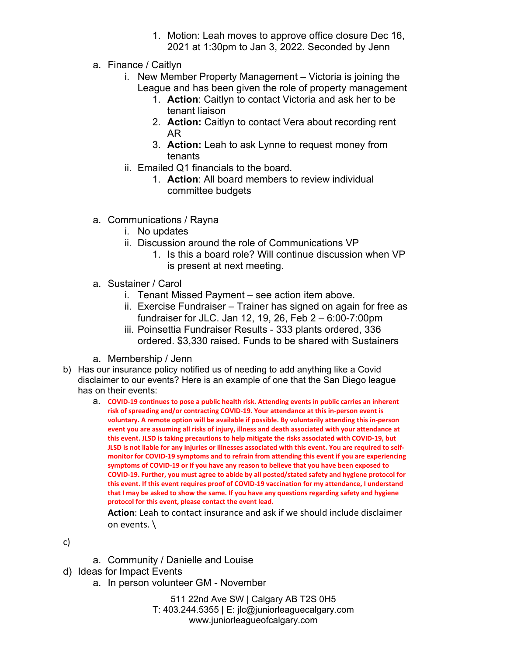- 1. Motion: Leah moves to approve office closure Dec 16, 2021 at 1:30pm to Jan 3, 2022. Seconded by Jenn
- a. Finance / Caitlyn
	- i. New Member Property Management Victoria is joining the League and has been given the role of property management
		- 1. **Action**: Caitlyn to contact Victoria and ask her to be tenant liaison
		- 2. **Action:** Caitlyn to contact Vera about recording rent AR
		- 3. **Action:** Leah to ask Lynne to request money from tenants
	- ii. Emailed Q1 financials to the board.
		- 1. **Action**: All board members to review individual committee budgets
- a. Communications / Rayna
	- i. No updates
	- ii. Discussion around the role of Communications VP
		- 1. Is this a board role? Will continue discussion when VP is present at next meeting.
- a. Sustainer / Carol
	- i. Tenant Missed Payment see action item above.
	- ii. Exercise Fundraiser Trainer has signed on again for free as fundraiser for JLC. Jan 12, 19, 26, Feb 2 – 6:00-7:00pm
	- iii. Poinsettia Fundraiser Results 333 plants ordered, 336 ordered. \$3,330 raised. Funds to be shared with Sustainers
- a. Membership / Jenn
- b) Has our insurance policy notified us of needing to add anything like a Covid disclaimer to our events? Here is an example of one that the San Diego league has on their events:
	- a. **COVID-19 continues to pose a public health risk. Attending events in public carries an inherent risk of spreading and/or contracting COVID-19. Your attendance at this in-person event is voluntary. A remote option will be available if possible. By voluntarily attending this in-person event you are assuming all risks of injury, illness and death associated with your attendance at this event. JLSD is taking precautions to help mitigate the risks associated with COVID-19, but JLSD is not liable for any injuries or illnesses associated with this event. You are required to selfmonitor for COVID-19 symptoms and to refrain from attending this event if you are experiencing symptoms of COVID-19 or if you have any reason to believe that you have been exposed to COVID-19. Further, you must agree to abide by all posted/stated safety and hygiene protocol for this event. If this event requires proof of COVID-19 vaccination for my attendance, I understand that I may be asked to show the same. If you have any questions regarding safety and hygiene protocol for this event, please contact the event lead.**

**Action**: Leah to contact insurance and ask if we should include disclaimer on events. \

c)

- a. Community / Danielle and Louise
- d) Ideas for Impact Events
	- a. In person volunteer GM November

511 22nd Ave SW | Calgary AB T2S 0H5 T: 403.244.5355 | E: jlc@juniorleaguecalgary.com www.juniorleagueofcalgary.com